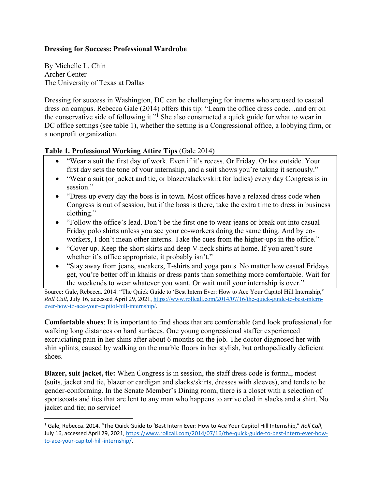## **Dressing for Success: Professional Wardrobe**

By Michelle L. Chin Archer Center The University of Texas at Dallas

Dressing for success in Washington, DC can be challenging for interns who are used to casual dress on campus. Rebecca Gale (2014) offers this tip: "Learn the office dress code…and err on the conservative side of following it."<sup>1</sup> She also constructed a quick guide for what to wear in DC office settings (see table 1), whether the setting is a Congressional office, a lobbying firm, or a nonprofit organization.

## **Table 1. Professional Working Attire Tips** (Gale 2014)

- "Wear a suit the first day of work. Even if it's recess. Or Friday. Or hot outside. Your first day sets the tone of your internship, and a suit shows you're taking it seriously."
- "Wear a suit (or jacket and tie, or blazer/slacks/skirt for ladies) every day Congress is in session."
- "Dress up every day the boss is in town. Most offices have a relaxed dress code when Congress is out of session, but if the boss is there, take the extra time to dress in business clothing."
- "Follow the office's lead. Don't be the first one to wear jeans or break out into casual Friday polo shirts unless you see your co-workers doing the same thing. And by coworkers, I don't mean other interns. Take the cues from the higher-ups in the office."
- "Cover up. Keep the short skirts and deep V-neck shirts at home. If you aren't sure whether it's office appropriate, it probably isn't."
- "Stay away from jeans, sneakers, T-shirts and yoga pants. No matter how casual Fridays get, you're better off in khakis or dress pants than something more comfortable. Wait for the weekends to wear whatever you want. Or wait until your internship is over."

Source**:** Gale, Rebecca. 2014. "The Quick Guide to 'Best Intern Ever: How to Ace Your Capitol Hill Internship," *Roll Call*, July 16, accessed April 29, 2021, https://www.rollcall.com/2014/07/16/the-quick-guide-to-best-internever-how-to-ace-your-capitol-hill-internship/.

**Comfortable shoes**: It is important to find shoes that are comfortable (and look professional) for walking long distances on hard surfaces. One young congressional staffer experienced excruciating pain in her shins after about 6 months on the job. The doctor diagnosed her with shin splints, caused by walking on the marble floors in her stylish, but orthopedically deficient shoes.

**Blazer, suit jacket, tie:** When Congress is in session, the staff dress code is formal, modest (suits, jacket and tie, blazer or cardigan and slacks/skirts, dresses with sleeves), and tends to be gender-conforming. In the Senate Member's Dining room, there is a closet with a selection of sportscoats and ties that are lent to any man who happens to arrive clad in slacks and a shirt. No jacket and tie; no service!

<sup>1</sup> Gale, Rebecca. 2014. "The Quick Guide to 'Best Intern Ever: How to Ace Your Capitol Hill Internship," *Roll Call*, July 16, accessed April 29, 2021, https://www.rollcall.com/2014/07/16/the-quick-guide-to-best-intern-ever-howto-ace-your-capitol-hill-internship/.